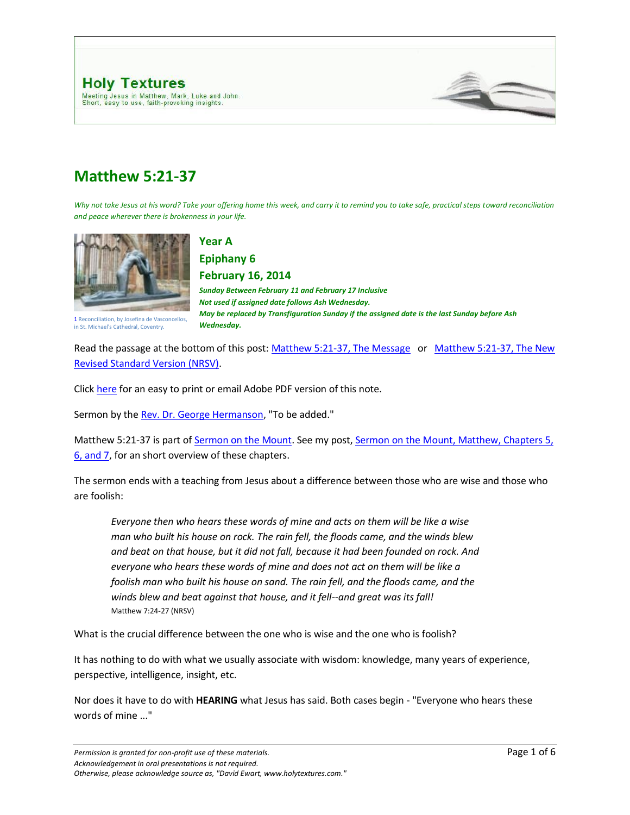



# **Matthew 5:21-37**

*Why not take Jesus at his word? Take your offering home this week, and carry it to remind you to take safe, practical steps toward reconciliation and peace wherever there is brokenness in your life.*



**Year A** 

**Epiphany 6 February 16, 2014** 

*Sunday Between February 11 and February 17 Inclusive Not used if assigned date follows Ash Wednesday. May be replaced by Transfiguration Sunday if the assigned date is the last Sunday before Ash Wednesday.*

1 Reconciliation, by Josefina de Vasconcellos, in St. Michael's Cathedral, Coventry.

Read the passage at the bottom of this post[: Matthew 5:21-37, The Message](http://www.holytextures.com/2011/01/matthew-5-21-37-year-a-epiphany-6-february-11-february-17-sermon.html#MSG) or Matthew 5:21-37, The New [Revised Standard Version \(NRSV\).](http://www.holytextures.com/2011/01/matthew-5-21-37-year-a-epiphany-6-february-11-february-17-sermon.html#NRSV)

Click [here](http://www.holytextures.com/Matthew-05-21-37.pdf) for an easy to print or email Adobe PDF version of this note.

Sermon by the [Rev. Dr. George Hermanson,](http://www.georgehermanson.com/) "To be added."

Matthew 5:21-37 is part of [Sermon on the Mount.](http://www.holytextures.com/2008/06/sermon-on-the-m.html) See my post, Sermon on the Mount, Matthew, Chapters 5, [6, and 7,](http://www.holytextures.com/2008/06/sermon-on-the-m.html) for an short overview of these chapters.

The sermon ends with a teaching from Jesus about a difference between those who are wise and those who are foolish:

*Everyone then who hears these words of mine and acts on them will be like a wise man who built his house on rock. The rain fell, the floods came, and the winds blew and beat on that house, but it did not fall, because it had been founded on rock. And everyone who hears these words of mine and does not act on them will be like a foolish man who built his house on sand. The rain fell, and the floods came, and the winds blew and beat against that house, and it fell--and great was its fall!* Matthew 7:24-27 (NRSV)

What is the crucial difference between the one who is wise and the one who is foolish?

It has nothing to do with what we usually associate with wisdom: knowledge, many years of experience, perspective, intelligence, insight, etc.

Nor does it have to do with **HEARING** what Jesus has said. Both cases begin - "Everyone who hears these words of mine ..."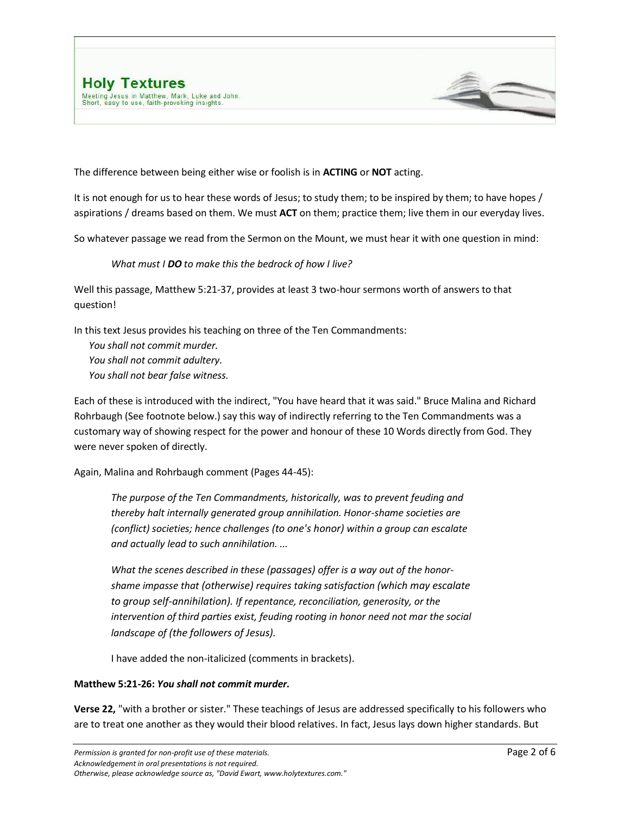



The difference between being either wise or foolish is in **ACTING** or **NOT** acting.

It is not enough for us to hear these words of Jesus; to study them; to be inspired by them; to have hopes / aspirations / dreams based on them. We must **ACT** on them; practice them; live them in our everyday lives.

So whatever passage we read from the Sermon on the Mount, we must hear it with one question in mind:

#### *What must I DO to make this the bedrock of how I live?*

Well this passage, Matthew 5:21-37, provides at least 3 two-hour sermons worth of answers to that question!

In this text Jesus provides his teaching on three of the Ten Commandments:

*You shall not commit murder. You shall not commit adultery. You shall not bear false witness.*

Each of these is introduced with the indirect, "You have heard that it was said." Bruce Malina and Richard Rohrbaugh (See footnote below.) say this way of indirectly referring to the Ten Commandments was a customary way of showing respect for the power and honour of these 10 Words directly from God. They were never spoken of directly.

Again, Malina and Rohrbaugh comment (Pages 44-45):

*The purpose of the Ten Commandments, historically, was to prevent feuding and thereby halt internally generated group annihilation. Honor-shame societies are (conflict) societies; hence challenges (to one's honor) within a group can escalate and actually lead to such annihilation. ...*

*What the scenes described in these (passages) offer is a way out of the honorshame impasse that (otherwise) requires taking satisfaction (which may escalate to group self-annihilation). If repentance, reconciliation, generosity, or the intervention of third parties exist, feuding rooting in honor need not mar the social landscape of (the followers of Jesus).*

I have added the non-italicized (comments in brackets).

#### **Matthew 5:21-26:** *You shall not commit murder.*

**Verse 22,** "with a brother or sister." These teachings of Jesus are addressed specifically to his followers who are to treat one another as they would their blood relatives. In fact, Jesus lays down higher standards. But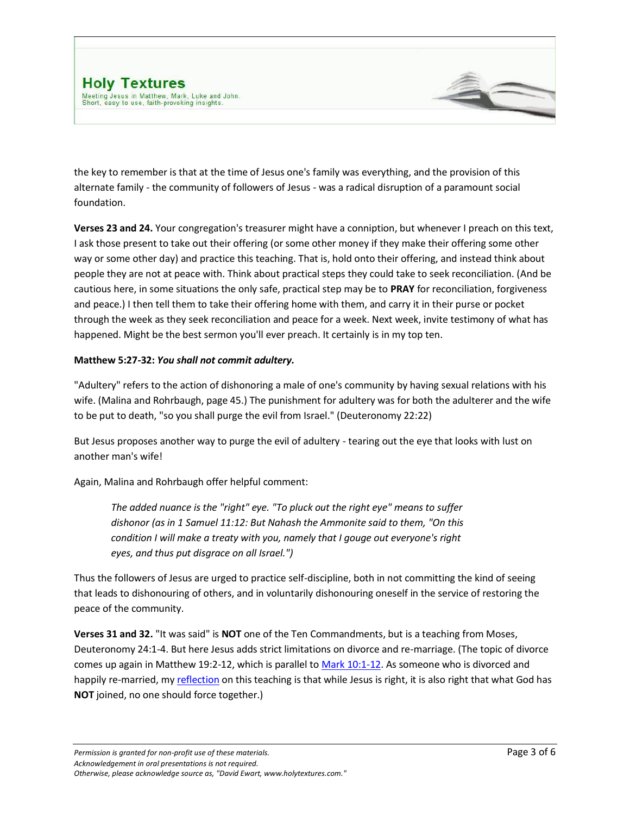

the key to remember is that at the time of Jesus one's family was everything, and the provision of this alternate family - the community of followers of Jesus - was a radical disruption of a paramount social foundation.

**Verses 23 and 24.** Your congregation's treasurer might have a conniption, but whenever I preach on this text, I ask those present to take out their offering (or some other money if they make their offering some other way or some other day) and practice this teaching. That is, hold onto their offering, and instead think about people they are not at peace with. Think about practical steps they could take to seek reconciliation. (And be cautious here, in some situations the only safe, practical step may be to **PRAY** for reconciliation, forgiveness and peace.) I then tell them to take their offering home with them, and carry it in their purse or pocket through the week as they seek reconciliation and peace for a week. Next week, invite testimony of what has happened. Might be the best sermon you'll ever preach. It certainly is in my top ten.

## **Matthew 5:27-32:** *You shall not commit adultery.*

"Adultery" refers to the action of dishonoring a male of one's community by having sexual relations with his wife. (Malina and Rohrbaugh, page 45.) The punishment for adultery was for both the adulterer and the wife to be put to death, "so you shall purge the evil from Israel." (Deuteronomy 22:22)

But Jesus proposes another way to purge the evil of adultery - tearing out the eye that looks with lust on another man's wife!

Again, Malina and Rohrbaugh offer helpful comment:

*The added nuance is the "right" eye. "To pluck out the right eye" means to suffer dishonor (as in 1 Samuel 11:12: But Nahash the Ammonite said to them, "On this condition I will make a treaty with you, namely that I gouge out everyone's right eyes, and thus put disgrace on all Israel.")*

Thus the followers of Jesus are urged to practice self-discipline, both in not committing the kind of seeing that leads to dishonouring of others, and in voluntarily dishonouring oneself in the service of restoring the peace of the community.

**Verses 31 and 32.** "It was said" is **NOT** one of the Ten Commandments, but is a teaching from Moses, Deuteronomy 24:1-4. But here Jesus adds strict limitations on divorce and re-marriage. (The topic of divorce comes up again in Matthew 19:2-12, which is parallel t[o Mark 10:1-12.](http://www.holytextures.com/2009/09/mark-10-2-16-year-b-pentecost-22-27-sermon.html) As someone who is divorced and happily re-married, my [reflection](http://www.holytextures.com/2009/09/mark-10-2-16-year-b-pentecost-22-27-sermon.html) on this teaching is that while Jesus is right, it is also right that what God has **NOT** joined, no one should force together.)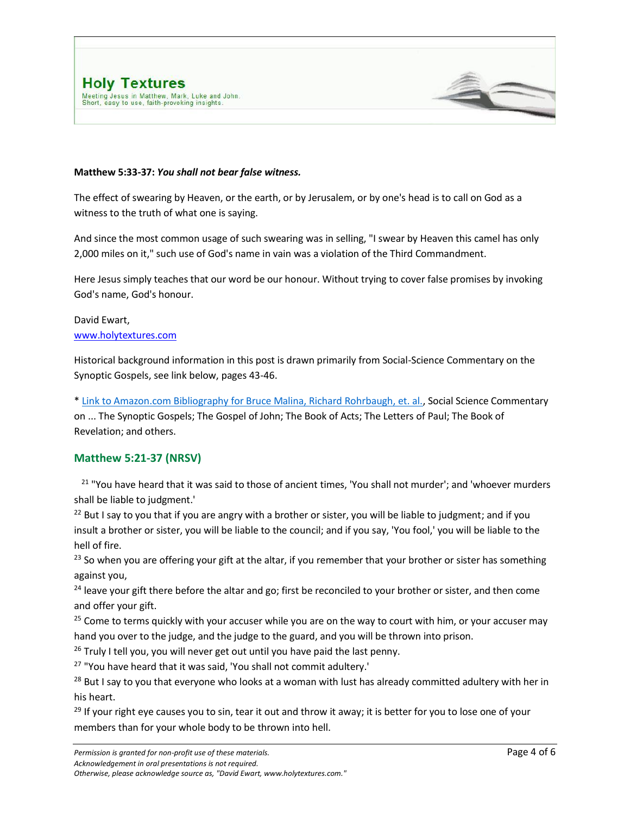

The effect of swearing by Heaven, or the earth, or by Jerusalem, or by one's head is to call on God as a witness to the truth of what one is saying.

And since the most common usage of such swearing was in selling, "I swear by Heaven this camel has only 2,000 miles on it," such use of God's name in vain was a violation of the Third Commandment.

Here Jesus simply teaches that our word be our honour. Without trying to cover false promises by invoking God's name, God's honour.

David Ewart, [www.holytextures.com](http://www.holytextures.com/)

Historical background information in this post is drawn primarily from Social-Science Commentary on the Synoptic Gospels, see link below, pages 43-46.

[\\* Link to Amazon.com Bibliography for Bruce Malina, Richard Rohrbaugh, et. al.,](http://www.amazon.com/Bruce-J.-Malina/e/B000APRY4A/ref=ntt_athr_dp_pel_1) Social Science Commentary on ... The Synoptic Gospels; The Gospel of John; The Book of Acts; The Letters of Paul; The Book of Revelation; and others.

### **Matthew 5:21-37 (NRSV)**

<sup>21</sup> "You have heard that it was said to those of ancient times, 'You shall not murder'; and 'whoever murders shall be liable to judgment.'

<sup>22</sup> But I say to you that if you are angry with a brother or sister, you will be liable to judgment; and if you insult a brother or sister, you will be liable to the council; and if you say, 'You fool,' you will be liable to the hell of fire.

<sup>23</sup> So when you are offering your gift at the altar, if you remember that your brother or sister has something against you,

<sup>24</sup> leave your gift there before the altar and go; first be reconciled to your brother or sister, and then come and offer your gift.

<sup>25</sup> Come to terms quickly with your accuser while you are on the way to court with him, or your accuser may hand you over to the judge, and the judge to the guard, and you will be thrown into prison.

<sup>26</sup> Truly I tell you, you will never get out until you have paid the last penny.

<sup>27</sup> "You have heard that it was said, 'You shall not commit adultery.'

<sup>28</sup> But I say to you that everyone who looks at a woman with lust has already committed adultery with her in his heart.

<sup>29</sup> If your right eye causes you to sin, tear it out and throw it away; it is better for you to lose one of your members than for your whole body to be thrown into hell.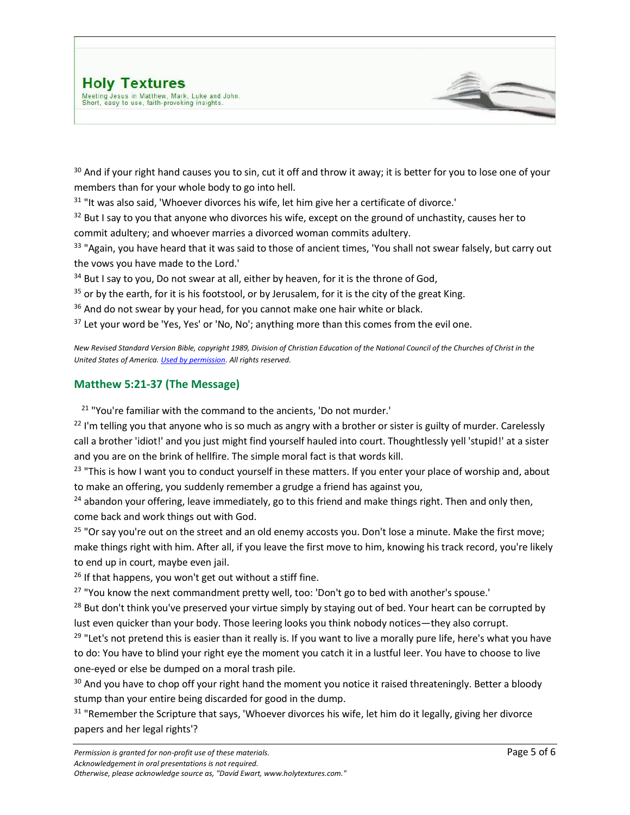<sup>30</sup> And if your right hand causes you to sin, cut it off and throw it away; it is better for you to lose one of your members than for your whole body to go into hell.

 $31$  "It was also said, 'Whoever divorces his wife, let him give her a certificate of divorce.'

 $32$  But I say to you that anyone who divorces his wife, except on the ground of unchastity, causes her to commit adultery; and whoever marries a divorced woman commits adultery.

<sup>33</sup> "Again, you have heard that it was said to those of ancient times, 'You shall not swear falsely, but carry out the vows you have made to the Lord.'

<sup>34</sup> But I say to you, Do not swear at all, either by heaven, for it is the throne of God,

 $35$  or by the earth, for it is his footstool, or by Jerusalem, for it is the city of the great King.

<sup>36</sup> And do not swear by your head, for you cannot make one hair white or black.

 $37$  Let your word be 'Yes, Yes' or 'No, No'; anything more than this comes from the evil one.

*New Revised Standard Version Bible, copyright 1989, Division of Christian Education of the National Council of the Churches of Christ in the United States of America[. Used by permission.](http://www.ncccusa.org/newbtu/permiss.html) All rights reserved.*

## **Matthew 5:21-37 (The Message)**

<sup>21</sup> "You're familiar with the command to the ancients, 'Do not murder.'

 $^{22}$  I'm telling you that anyone who is so much as angry with a brother or sister is guilty of murder. Carelessly call a brother 'idiot!' and you just might find yourself hauled into court. Thoughtlessly yell 'stupid!' at a sister and you are on the brink of hellfire. The simple moral fact is that words kill.

<sup>23</sup> "This is how I want you to conduct yourself in these matters. If you enter your place of worship and, about to make an offering, you suddenly remember a grudge a friend has against you,

 $24$  abandon your offering, leave immediately, go to this friend and make things right. Then and only then, come back and work things out with God.

 $25$  "Or say you're out on the street and an old enemy accosts you. Don't lose a minute. Make the first move; make things right with him. After all, if you leave the first move to him, knowing his track record, you're likely to end up in court, maybe even jail.

<sup>26</sup> If that happens, you won't get out without a stiff fine.

<sup>27</sup> "You know the next commandment pretty well, too: 'Don't go to bed with another's spouse.'

<sup>28</sup> But don't think you've preserved your virtue simply by staying out of bed. Your heart can be corrupted by lust even quicker than your body. Those leering looks you think nobody notices—they also corrupt.

 $29$  "Let's not pretend this is easier than it really is. If you want to live a morally pure life, here's what you have to do: You have to blind your right eye the moment you catch it in a lustful leer. You have to choose to live one-eyed or else be dumped on a moral trash pile.

<sup>30</sup> And you have to chop off your right hand the moment you notice it raised threateningly. Better a bloody stump than your entire being discarded for good in the dump.

<sup>31</sup> "Remember the Scripture that says, 'Whoever divorces his wife, let him do it legally, giving her divorce papers and her legal rights'?

*Otherwise, please acknowledge source as, "David Ewart, www.holytextures.com."*